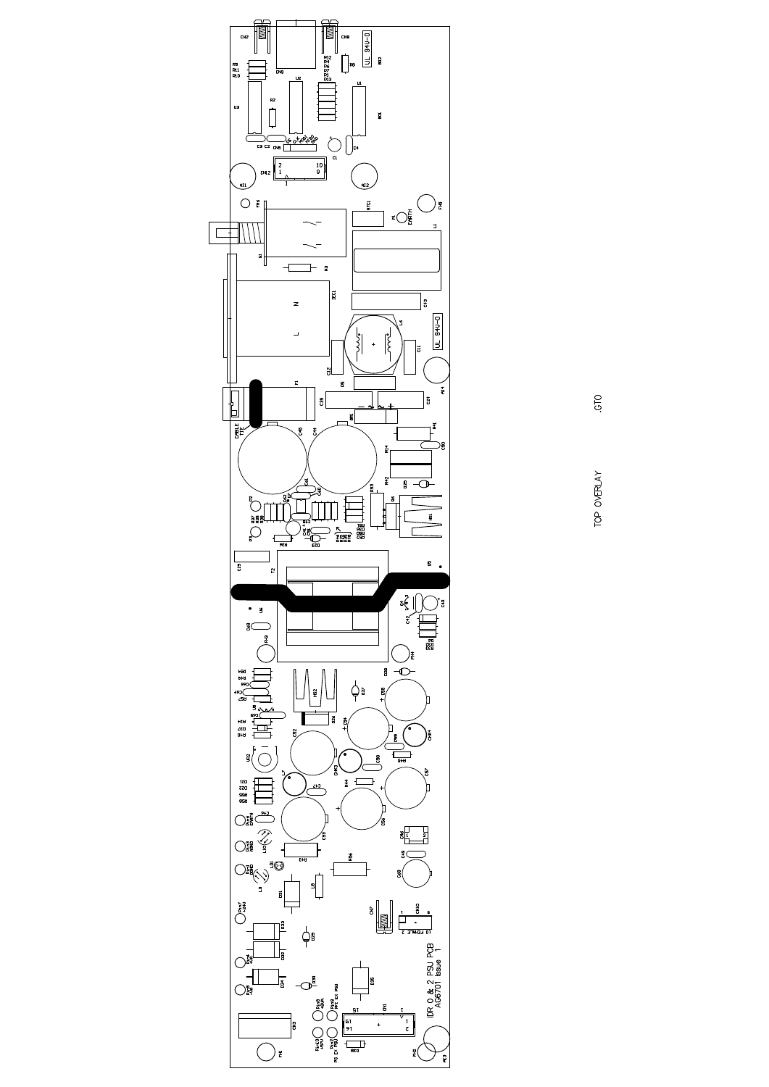

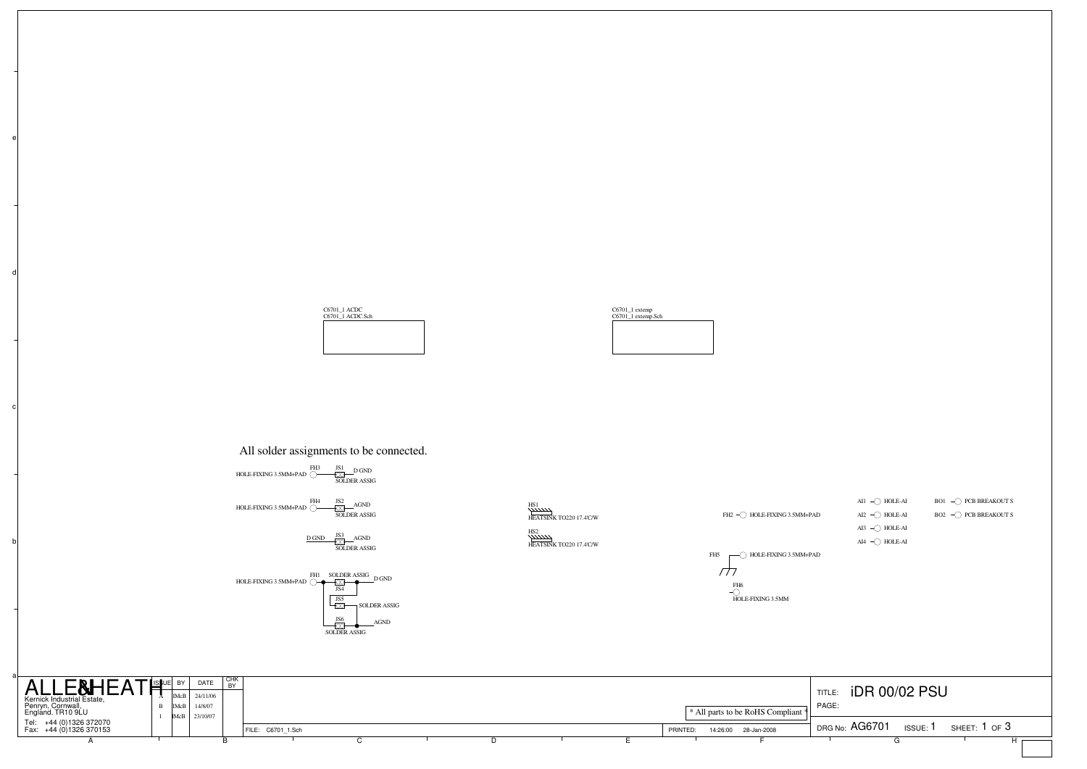c

d

e









## All solder assignments to be connected.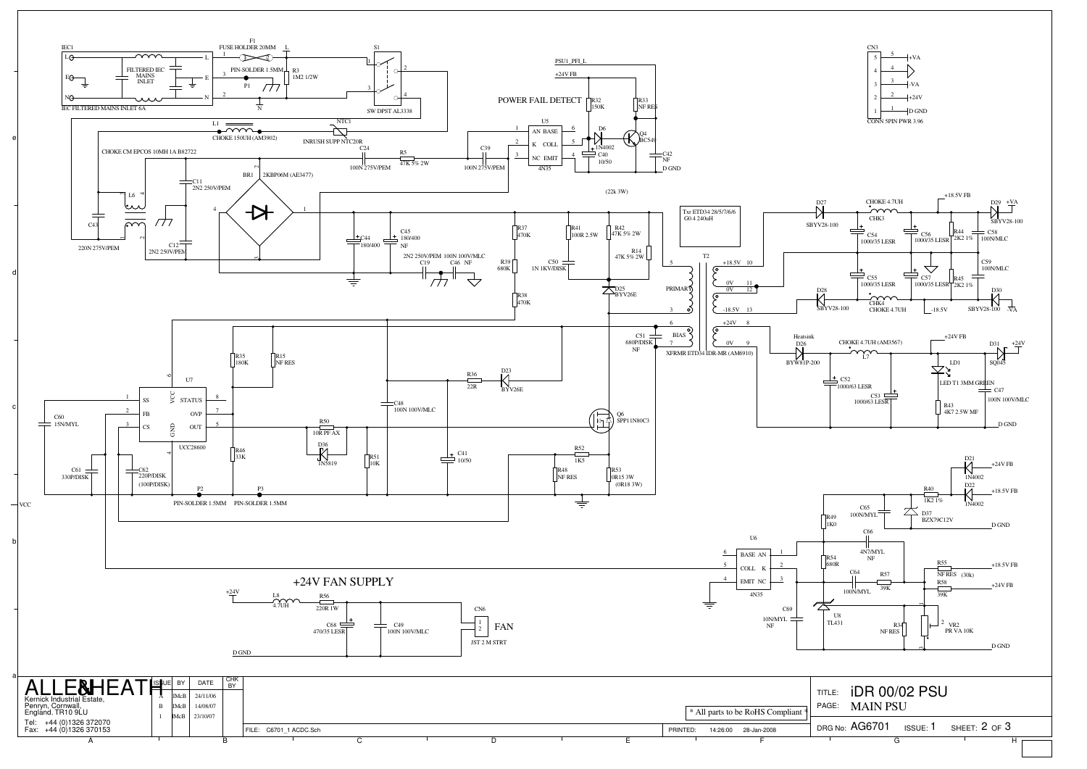